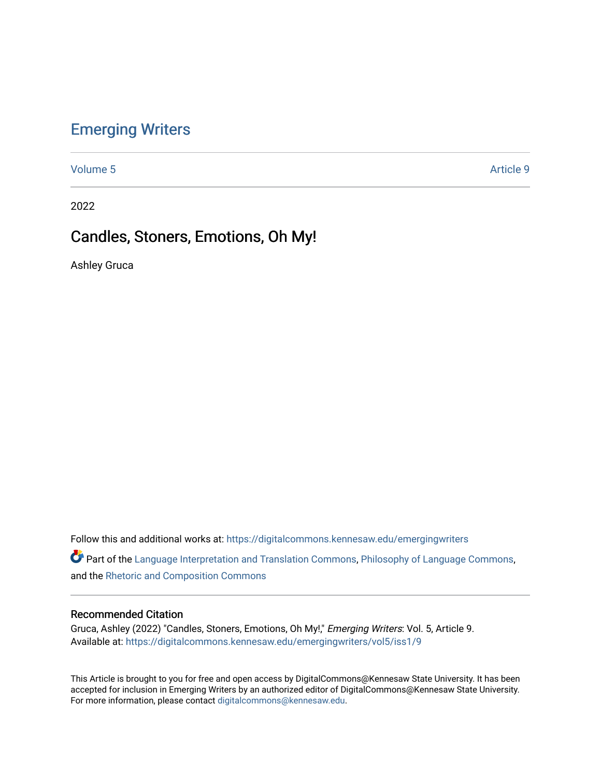# [Emerging Writers](https://digitalcommons.kennesaw.edu/emergingwriters)

[Volume 5](https://digitalcommons.kennesaw.edu/emergingwriters/vol5) Article 9

2022

# Candles, Stoners, Emotions, Oh My!

Ashley Gruca

Follow this and additional works at: [https://digitalcommons.kennesaw.edu/emergingwriters](https://digitalcommons.kennesaw.edu/emergingwriters?utm_source=digitalcommons.kennesaw.edu%2Femergingwriters%2Fvol5%2Fiss1%2F9&utm_medium=PDF&utm_campaign=PDFCoverPages) 

Part of the [Language Interpretation and Translation Commons](http://network.bepress.com/hgg/discipline/1391?utm_source=digitalcommons.kennesaw.edu%2Femergingwriters%2Fvol5%2Fiss1%2F9&utm_medium=PDF&utm_campaign=PDFCoverPages), [Philosophy of Language Commons](http://network.bepress.com/hgg/discipline/534?utm_source=digitalcommons.kennesaw.edu%2Femergingwriters%2Fvol5%2Fiss1%2F9&utm_medium=PDF&utm_campaign=PDFCoverPages), and the [Rhetoric and Composition Commons](http://network.bepress.com/hgg/discipline/573?utm_source=digitalcommons.kennesaw.edu%2Femergingwriters%2Fvol5%2Fiss1%2F9&utm_medium=PDF&utm_campaign=PDFCoverPages)

### Recommended Citation

Gruca, Ashley (2022) "Candles, Stoners, Emotions, Oh My!," Emerging Writers: Vol. 5, Article 9. Available at: [https://digitalcommons.kennesaw.edu/emergingwriters/vol5/iss1/9](https://digitalcommons.kennesaw.edu/emergingwriters/vol5/iss1/9?utm_source=digitalcommons.kennesaw.edu%2Femergingwriters%2Fvol5%2Fiss1%2F9&utm_medium=PDF&utm_campaign=PDFCoverPages) 

This Article is brought to you for free and open access by DigitalCommons@Kennesaw State University. It has been accepted for inclusion in Emerging Writers by an authorized editor of DigitalCommons@Kennesaw State University. For more information, please contact [digitalcommons@kennesaw.edu.](mailto:digitalcommons@kennesaw.edu)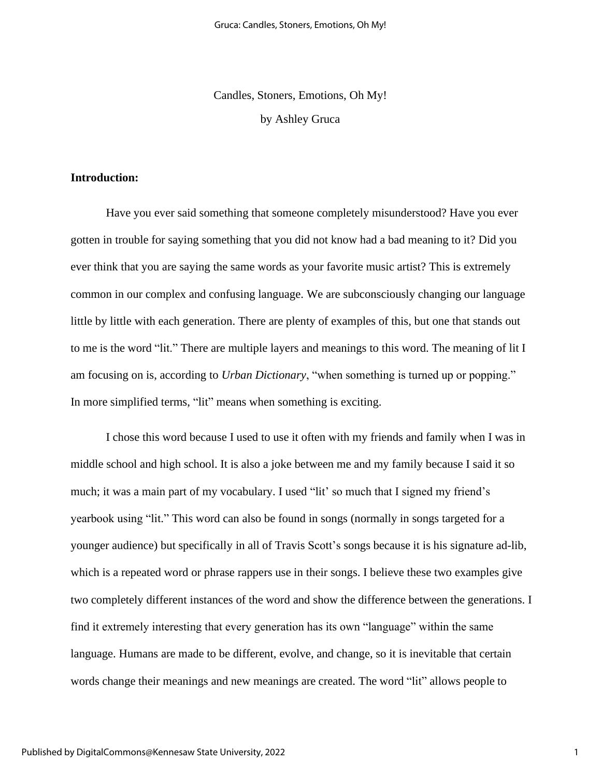Candles, Stoners, Emotions, Oh My! by Ashley Gruca

# **Introduction:**

Have you ever said something that someone completely misunderstood? Have you ever gotten in trouble for saying something that you did not know had a bad meaning to it? Did you ever think that you are saying the same words as your favorite music artist? This is extremely common in our complex and confusing language. We are subconsciously changing our language little by little with each generation. There are plenty of examples of this, but one that stands out to me is the word "lit." There are multiple layers and meanings to this word. The meaning of lit I am focusing on is, according to *Urban Dictionary*, "when something is turned up or popping." In more simplified terms, "lit" means when something is exciting.

I chose this word because I used to use it often with my friends and family when I was in middle school and high school. It is also a joke between me and my family because I said it so much; it was a main part of my vocabulary. I used "lit' so much that I signed my friend's yearbook using "lit." This word can also be found in songs (normally in songs targeted for a younger audience) but specifically in all of Travis Scott's songs because it is his signature ad-lib, which is a repeated word or phrase rappers use in their songs. I believe these two examples give two completely different instances of the word and show the difference between the generations. I find it extremely interesting that every generation has its own "language" within the same language. Humans are made to be different, evolve, and change, so it is inevitable that certain words change their meanings and new meanings are created. The word "lit" allows people to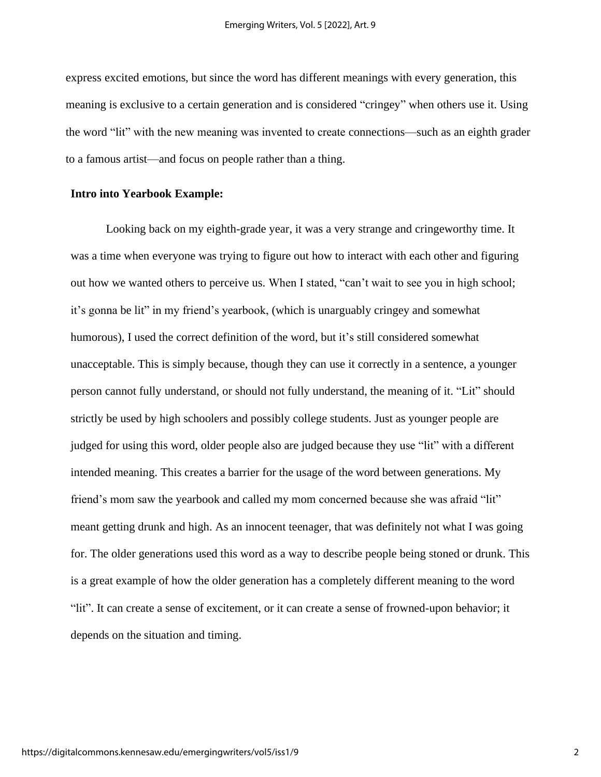express excited emotions, but since the word has different meanings with every generation, this meaning is exclusive to a certain generation and is considered "cringey" when others use it. Using the word "lit" with the new meaning was invented to create connections—such as an eighth grader to a famous artist—and focus on people rather than a thing.

## **Intro into Yearbook Example:**

Looking back on my eighth-grade year, it was a very strange and cringeworthy time. It was a time when everyone was trying to figure out how to interact with each other and figuring out how we wanted others to perceive us. When I stated, "can't wait to see you in high school; it's gonna be lit" in my friend's yearbook, (which is unarguably cringey and somewhat humorous), I used the correct definition of the word, but it's still considered somewhat unacceptable. This is simply because, though they can use it correctly in a sentence, a younger person cannot fully understand, or should not fully understand, the meaning of it. "Lit" should strictly be used by high schoolers and possibly college students. Just as younger people are judged for using this word, older people also are judged because they use "lit" with a different intended meaning. This creates a barrier for the usage of the word between generations. My friend's mom saw the yearbook and called my mom concerned because she was afraid "lit" meant getting drunk and high. As an innocent teenager, that was definitely not what I was going for. The older generations used this word as a way to describe people being stoned or drunk. This is a great example of how the older generation has a completely different meaning to the word "lit". It can create a sense of excitement, or it can create a sense of frowned-upon behavior; it depends on the situation and timing.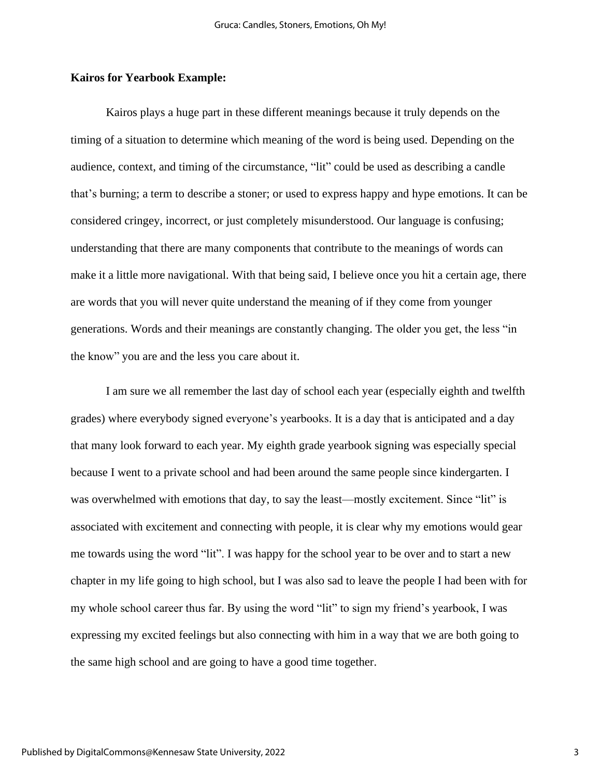## **Kairos for Yearbook Example:**

Kairos plays a huge part in these different meanings because it truly depends on the timing of a situation to determine which meaning of the word is being used. Depending on the audience, context, and timing of the circumstance, "lit" could be used as describing a candle that's burning; a term to describe a stoner; or used to express happy and hype emotions. It can be considered cringey, incorrect, or just completely misunderstood. Our language is confusing; understanding that there are many components that contribute to the meanings of words can make it a little more navigational. With that being said, I believe once you hit a certain age, there are words that you will never quite understand the meaning of if they come from younger generations. Words and their meanings are constantly changing. The older you get, the less "in the know" you are and the less you care about it.

I am sure we all remember the last day of school each year (especially eighth and twelfth grades) where everybody signed everyone's yearbooks. It is a day that is anticipated and a day that many look forward to each year. My eighth grade yearbook signing was especially special because I went to a private school and had been around the same people since kindergarten. I was overwhelmed with emotions that day, to say the least—mostly excitement. Since "lit" is associated with excitement and connecting with people, it is clear why my emotions would gear me towards using the word "lit". I was happy for the school year to be over and to start a new chapter in my life going to high school, but I was also sad to leave the people I had been with for my whole school career thus far. By using the word "lit" to sign my friend's yearbook, I was expressing my excited feelings but also connecting with him in a way that we are both going to the same high school and are going to have a good time together.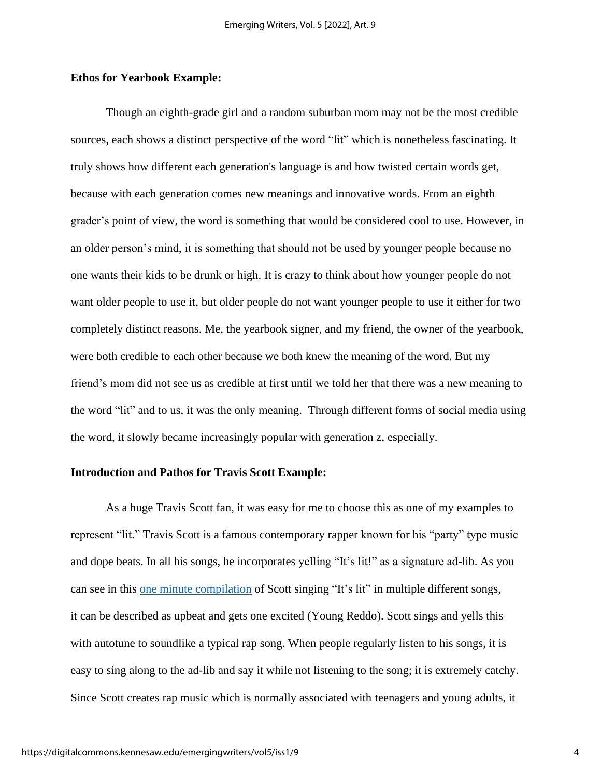#### **Ethos for Yearbook Example:**

Though an eighth-grade girl and a random suburban mom may not be the most credible sources, each shows a distinct perspective of the word "lit" which is nonetheless fascinating. It truly shows how different each generation's language is and how twisted certain words get, because with each generation comes new meanings and innovative words. From an eighth grader's point of view, the word is something that would be considered cool to use. However, in an older person's mind, it is something that should not be used by younger people because no one wants their kids to be drunk or high. It is crazy to think about how younger people do not want older people to use it, but older people do not want younger people to use it either for two completely distinct reasons. Me, the yearbook signer, and my friend, the owner of the yearbook, were both credible to each other because we both knew the meaning of the word. But my friend's mom did not see us as credible at first until we told her that there was a new meaning to the word "lit" and to us, it was the only meaning. Through different forms of social media using the word, it slowly became increasingly popular with generation z, especially.

## **Introduction and Pathos for Travis Scott Example:**

As a huge Travis Scott fan, it was easy for me to choose this as one of my examples to represent "lit." Travis Scott is a famous contemporary rapper known for his "party" type music and dope beats. In all his songs, he incorporates yelling "It's lit!" as a signature ad-lib. As you can see in this one minute [compilation](https://youtu.be/y3FCXV8oEZU) of Scott singing "It's lit" in multiple different songs, it can be described as upbeat and gets one excited (Young Reddo). Scott sings and yells this with autotune to soundlike a typical rap song. When people regularly listen to his songs, it is easy to sing along to the ad-lib and say it while not listening to the song; it is extremely catchy. Since Scott creates rap music which is normally associated with teenagers and young adults, it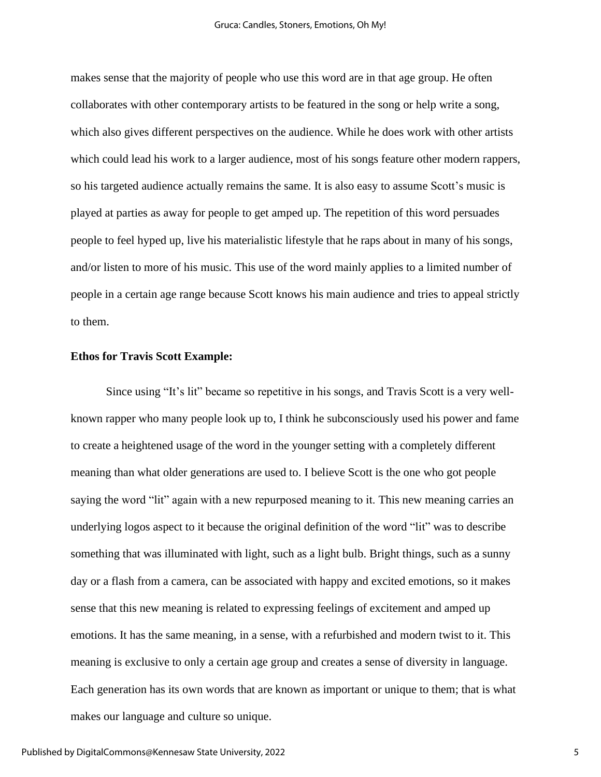makes sense that the majority of people who use this word are in that age group. He often collaborates with other contemporary artists to be featured in the song or help write a song, which also gives different perspectives on the audience. While he does work with other artists which could lead his work to a larger audience, most of his songs feature other modern rappers, so his targeted audience actually remains the same. It is also easy to assume Scott's music is played at parties as away for people to get amped up. The repetition of this word persuades people to feel hyped up, live his materialistic lifestyle that he raps about in many of his songs, and/or listen to more of his music. This use of the word mainly applies to a limited number of people in a certain age range because Scott knows his main audience and tries to appeal strictly to them.

### **Ethos for Travis Scott Example:**

Since using "It's lit" became so repetitive in his songs, and Travis Scott is a very wellknown rapper who many people look up to, I think he subconsciously used his power and fame to create a heightened usage of the word in the younger setting with a completely different meaning than what older generations are used to. I believe Scott is the one who got people saying the word "lit" again with a new repurposed meaning to it. This new meaning carries an underlying logos aspect to it because the original definition of the word "lit" was to describe something that was illuminated with light, such as a light bulb. Bright things, such as a sunny day or a flash from a camera, can be associated with happy and excited emotions, so it makes sense that this new meaning is related to expressing feelings of excitement and amped up emotions. It has the same meaning, in a sense, with a refurbished and modern twist to it. This meaning is exclusive to only a certain age group and creates a sense of diversity in language. Each generation has its own words that are known as important or unique to them; that is what makes our language and culture so unique.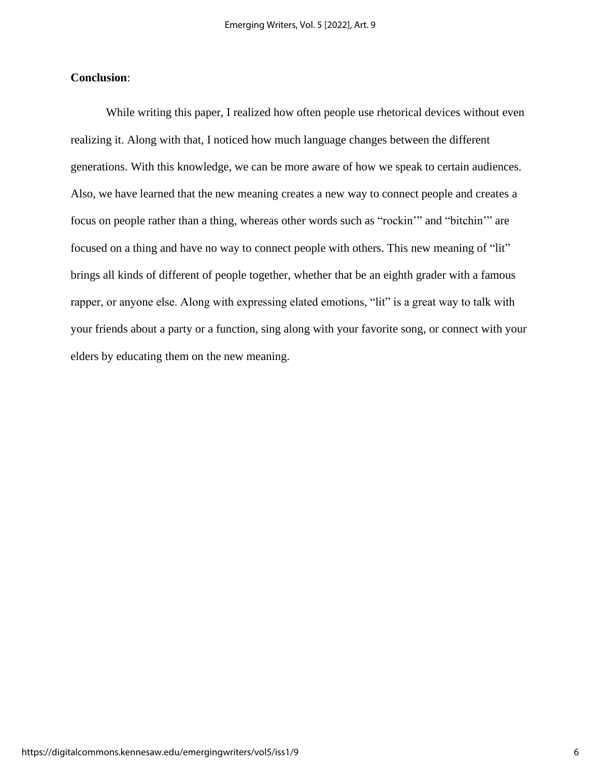# **Conclusion**:

While writing this paper, I realized how often people use rhetorical devices without even realizing it. Along with that, I noticed how much language changes between the different generations. With this knowledge, we can be more aware of how we speak to certain audiences. Also, we have learned that the new meaning creates a new way to connect people and creates a focus on people rather than a thing, whereas other words such as "rockin'" and "bitchin'" are focused on a thing and have no way to connect people with others. This new meaning of "lit" brings all kinds of different of people together, whether that be an eighth grader with a famous rapper, or anyone else. Along with expressing elated emotions, "lit" is a great way to talk with your friends about a party or a function, sing along with your favorite song, or connect with your elders by educating them on the new meaning.